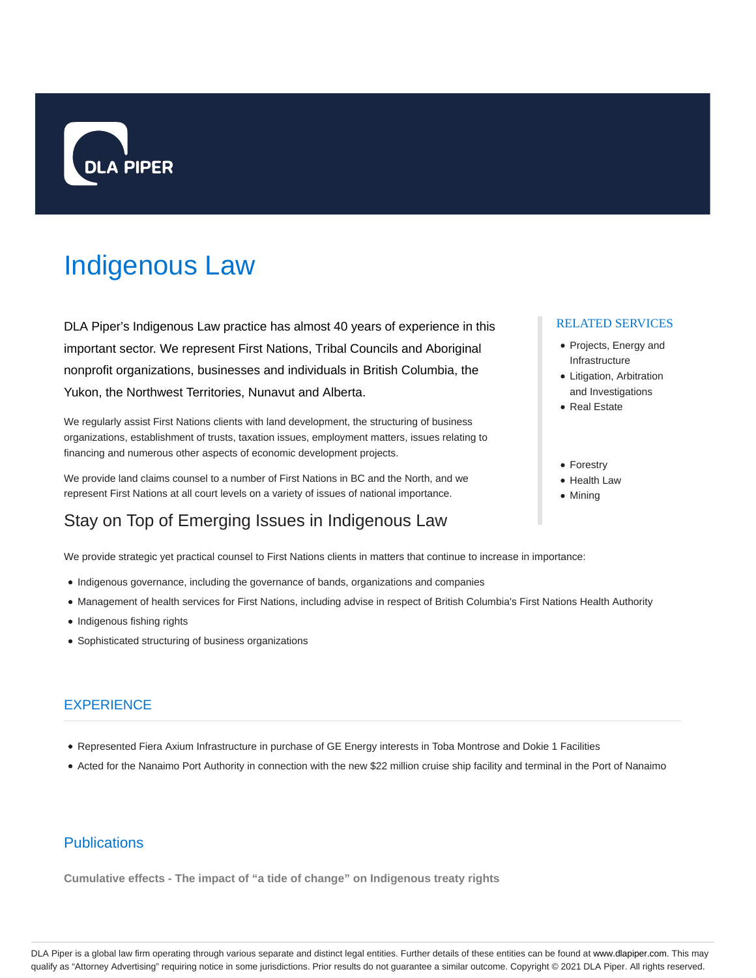

# Indigenous Law

DLA Piper's Indigenous Law practice has almost 40 years of experience in this important sector. We represent First Nations, Tribal Councils and Aboriginal nonprofit organizations, businesses and individuals in British Columbia, the Yukon, the Northwest Territories, Nunavut and Alberta.

We regularly assist First Nations clients with land development, the structuring of business organizations, establishment of trusts, taxation issues, employment matters, issues relating to financing and numerous other aspects of economic development projects.

We provide land claims counsel to a number of First Nations in BC and the North, and we represent First Nations at all court levels on a variety of issues of national importance.

# Stay on Top of Emerging Issues in Indigenous Law

We provide strategic yet practical counsel to First Nations clients in matters that continue to increase in importance:

- Indigenous governance, including the governance of bands, organizations and companies
- Management of health services for First Nations, including advise in respect of British Columbia's First Nations Health Authority
- Indigenous fishing rights
- Sophisticated structuring of business organizations

## **EXPERIENCE**

- Represented Fiera Axium Infrastructure in purchase of GE Energy interests in Toba Montrose and Dokie 1 Facilities
- Acted for the Nanaimo Port Authority in connection with the new \$22 million cruise ship facility and terminal in the Port of Nanaimo

# **Publications**

**Cumulative effects - The impact of "a tide of change" on Indigenous treaty rights**

#### RELATED SERVICES

- Projects, Energy and Infrastructure
- Litigation, Arbitration and Investigations
- Real Estate
- Forestry
- Health Law
- Mining

DLA Piper is a global law firm operating through various separate and distinct legal entities. Further details of these entities can be found at www.dlapiper.com. This may qualify as "Attorney Advertising" requiring notice in some jurisdictions. Prior results do not guarantee a similar outcome. Copyright @ 2021 DLA Piper. All rights reserved.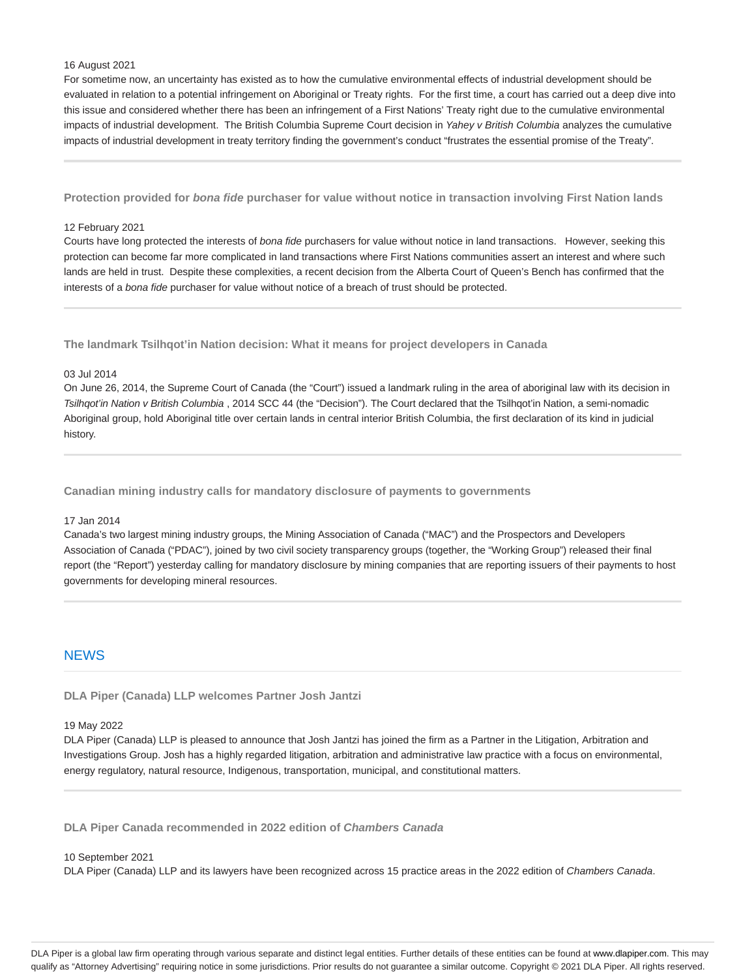### 16 August 2021

For sometime now, an uncertainty has existed as to how the cumulative environmental effects of industrial development should be evaluated in relation to a potential infringement on Aboriginal or Treaty rights. For the first time, a court has carried out a deep dive into this issue and considered whether there has been an infringement of a First Nations' Treaty right due to the cumulative environmental impacts of industrial development. The British Columbia Supreme Court decision in Yahey v British Columbia analyzes the cumulative impacts of industrial development in treaty territory finding the government's conduct "frustrates the essential promise of the Treaty".

**Protection provided for bona fide purchaser for value without notice in transaction involving First Nation lands**

#### 12 February 2021

Courts have long protected the interests of bona fide purchasers for value without notice in land transactions. However, seeking this protection can become far more complicated in land transactions where First Nations communities assert an interest and where such lands are held in trust. Despite these complexities, a recent decision from the Alberta Court of Queen's Bench has confirmed that the interests of a bona fide purchaser for value without notice of a breach of trust should be protected.

**The landmark Tsilhqot'in Nation decision: What it means for project developers in Canada**

#### 03 Jul 2014

On June 26, 2014, the Supreme Court of Canada (the "Court") issued a landmark ruling in the area of aboriginal law with its decision in Tsilhqot'in Nation v British Columbia , 2014 SCC 44 (the "Decision"). The Court declared that the Tsilhqot'in Nation, a semi-nomadic Aboriginal group, hold Aboriginal title over certain lands in central interior British Columbia, the first declaration of its kind in judicial history.

**Canadian mining industry calls for mandatory disclosure of payments to governments**

#### 17 Jan 2014

Canada's two largest mining industry groups, the Mining Association of Canada ("MAC") and the Prospectors and Developers Association of Canada ("PDAC"), joined by two civil society transparency groups (together, the "Working Group") released their final report (the "Report") yesterday calling for mandatory disclosure by mining companies that are reporting issuers of their payments to host governments for developing mineral resources.

### **NEWS**

**DLA Piper (Canada) LLP welcomes Partner Josh Jantzi**

#### 19 May 2022

DLA Piper (Canada) LLP is pleased to announce that Josh Jantzi has joined the firm as a Partner in the Litigation, Arbitration and Investigations Group. Josh has a highly regarded litigation, arbitration and administrative law practice with a focus on environmental, energy regulatory, natural resource, Indigenous, transportation, municipal, and constitutional matters.

**DLA Piper Canada recommended in 2022 edition of Chambers Canada**

#### 10 September 2021

DLA Piper (Canada) LLP and its lawyers have been recognized across 15 practice areas in the 2022 edition of Chambers Canada.